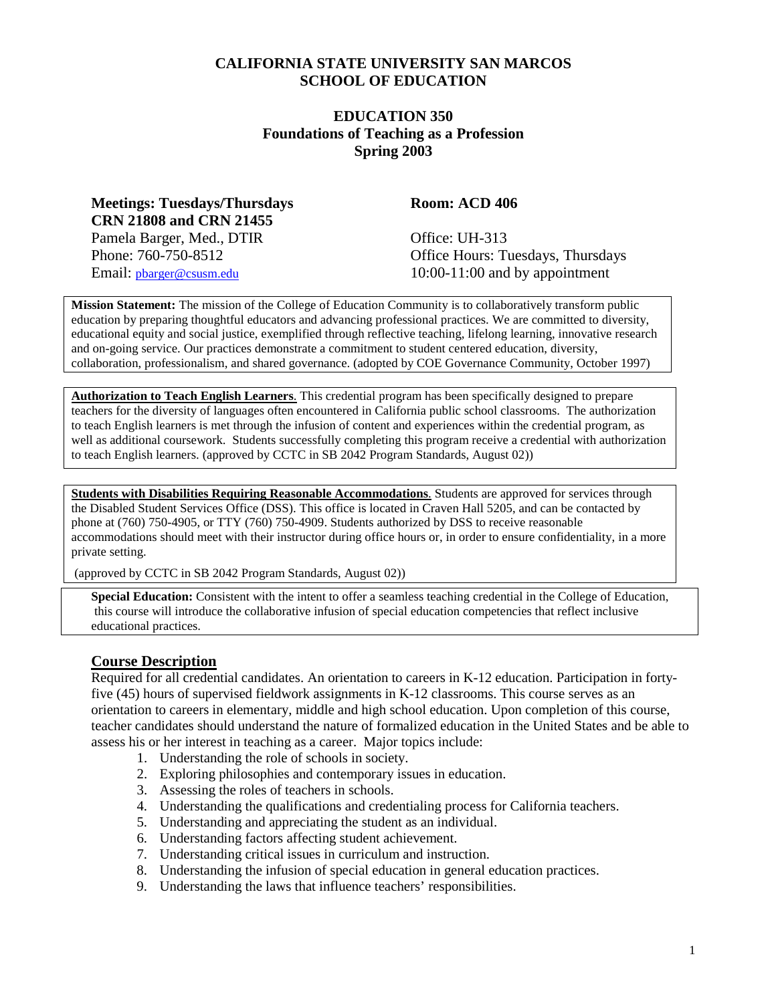#### **CALIFORNIA STATE UNIVERSITY SAN MARCOS SCHOOL OF EDUCATION**

#### **EDUCATION 350 Foundations of Teaching as a Profession Spring 2003**

**Meetings: Tuesdays/Thursdays Room: ACD 406 CRN 21808 and CRN 21455** Pamela Barger, Med., DTIR Office: UH-313

Phone: 760-750-8512 Office Hours: Tuesdays, Thursdays Email: [pbarger@csusm.edu](mailto:pbarger@csusm.edu) 10:00-11:00 and by appointment

**Mission Statement:** The mission of the College of Education Community is to collaboratively transform public education by preparing thoughtful educators and advancing professional practices. We are committed to diversity, educational equity and social justice, exemplified through reflective teaching, lifelong learning, innovative research and on-going service. Our practices demonstrate a commitment to student centered education, diversity, collaboration, professionalism, and shared governance. (adopted by COE Governance Community, October 1997)

**Authorization to Teach English Learners**. This credential program has been specifically designed to prepare teachers for the diversity of languages often encountered in California public school classrooms. The authorization to teach English learners is met through the infusion of content and experiences within the credential program, as well as additional coursework. Students successfully completing this program receive a credential with authorization to teach English learners. (approved by CCTC in SB 2042 Program Standards, August 02))

**Students with Disabilities Requiring Reasonable Accommodations**. Students are approved for services through the Disabled Student Services Office (DSS). This office is located in Craven Hall 5205, and can be contacted by phone at (760) 750-4905, or TTY (760) 750-4909. Students authorized by DSS to receive reasonable accommodations should meet with their instructor during office hours or, in order to ensure confidentiality, in a more private setting.

(approved by CCTC in SB 2042 Program Standards, August 02))

**Special Education:** Consistent with the intent to offer a seamless teaching credential in the College of Education, this course will introduce the collaborative infusion of special education competencies that reflect inclusive educational practices.

#### **Course Description**

Required for all credential candidates. An orientation to careers in K-12 education. Participation in fortyfive (45) hours of supervised fieldwork assignments in K-12 classrooms. This course serves as an orientation to careers in elementary, middle and high school education. Upon completion of this course, teacher candidates should understand the nature of formalized education in the United States and be able to assess his or her interest in teaching as a career. Major topics include:

- 1. Understanding the role of schools in society.
- 2. Exploring philosophies and contemporary issues in education.
- 3. Assessing the roles of teachers in schools.
- 4. Understanding the qualifications and credentialing process for California teachers.
- 5. Understanding and appreciating the student as an individual.
- 6. Understanding factors affecting student achievement.
- 7. Understanding critical issues in curriculum and instruction.
- 8. Understanding the infusion of special education in general education practices.
- 9. Understanding the laws that influence teachers' responsibilities.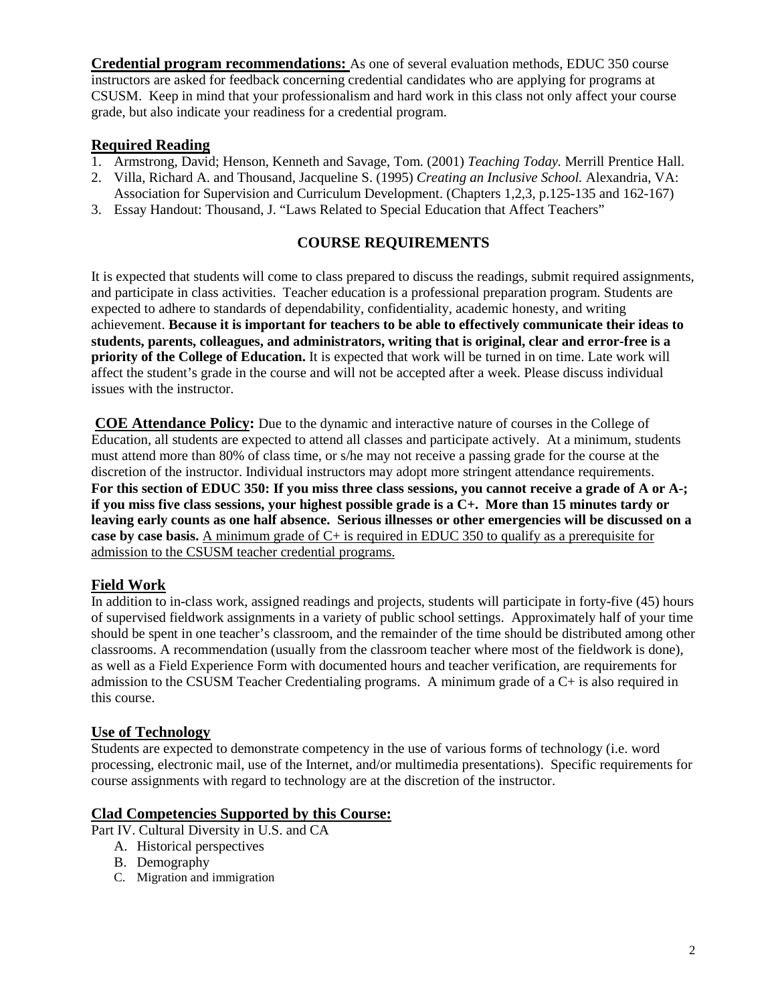**Credential program recommendations:** As one of several evaluation methods, EDUC 350 course instructors are asked for feedback concerning credential candidates who are applying for programs at CSUSM. Keep in mind that your professionalism and hard work in this class not only affect your course grade, but also indicate your readiness for a credential program.

#### **Required Reading**

- 1. Armstrong, David; Henson, Kenneth and Savage, Tom. (2001) *Teaching Today.* Merrill Prentice Hall.
- 2. Villa, Richard A. and Thousand, Jacqueline S. (1995) *Creating an Inclusive School.* Alexandria, VA:
- Association for Supervision and Curriculum Development. (Chapters 1,2,3, p.125-135 and 162-167)
- 3. Essay Handout: Thousand, J. "Laws Related to Special Education that Affect Teachers"

#### **COURSE REQUIREMENTS**

It is expected that students will come to class prepared to discuss the readings, submit required assignments, and participate in class activities. Teacher education is a professional preparation program. Students are expected to adhere to standards of dependability, confidentiality, academic honesty, and writing achievement. **Because it is important for teachers to be able to effectively communicate their ideas to students, parents, colleagues, and administrators, writing that is original, clear and error-free is a priority of the College of Education.** It is expected that work will be turned in on time. Late work will affect the student's grade in the course and will not be accepted after a week. Please discuss individual issues with the instructor.

**COE Attendance Policy:** Due to the dynamic and interactive nature of courses in the College of Education, all students are expected to attend all classes and participate actively. At a minimum, students must attend more than 80% of class time, or s/he may not receive a passing grade for the course at the discretion of the instructor. Individual instructors may adopt more stringent attendance requirements. **For this section of EDUC 350: If you miss three class sessions, you cannot receive a grade of A or A-; if you miss five class sessions, your highest possible grade is a C+. More than 15 minutes tardy or leaving early counts as one half absence. Serious illnesses or other emergencies will be discussed on a case by case basis.** A minimum grade of C+ is required in EDUC 350 to qualify as a prerequisite for admission to the CSUSM teacher credential programs.

#### **Field Work**

In addition to in-class work, assigned readings and projects, students will participate in forty-five (45) hours of supervised fieldwork assignments in a variety of public school settings. Approximately half of your time should be spent in one teacher's classroom, and the remainder of the time should be distributed among other classrooms. A recommendation (usually from the classroom teacher where most of the fieldwork is done), as well as a Field Experience Form with documented hours and teacher verification, are requirements for admission to the CSUSM Teacher Credentialing programs. A minimum grade of a C+ is also required in this course.

#### **Use of Technology**

Students are expected to demonstrate competency in the use of various forms of technology (i.e. word processing, electronic mail, use of the Internet, and/or multimedia presentations). Specific requirements for course assignments with regard to technology are at the discretion of the instructor.

#### **Clad Competencies Supported by this Course:**

- Part IV. Cultural Diversity in U.S. and CA
	- A. Historical perspectives
	- B. Demography
	- C. Migration and immigration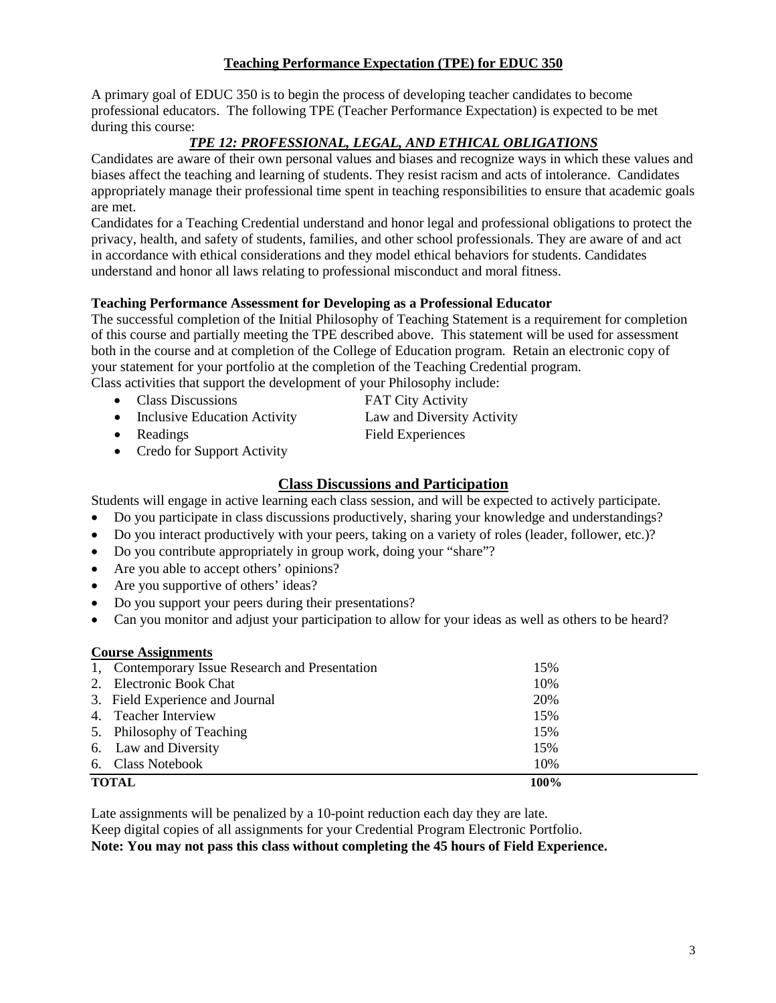#### **Teaching Performance Expectation (TPE) for EDUC 350**

A primary goal of EDUC 350 is to begin the process of developing teacher candidates to become professional educators. The following TPE (Teacher Performance Expectation) is expected to be met during this course:

#### *TPE 12: PROFESSIONAL, LEGAL, AND ETHICAL OBLIGATIONS*

Candidates are aware of their own personal values and biases and recognize ways in which these values and biases affect the teaching and learning of students. They resist racism and acts of intolerance. Candidates appropriately manage their professional time spent in teaching responsibilities to ensure that academic goals are met.

Candidates for a Teaching Credential understand and honor legal and professional obligations to protect the privacy, health, and safety of students, families, and other school professionals. They are aware of and act in accordance with ethical considerations and they model ethical behaviors for students. Candidates understand and honor all laws relating to professional misconduct and moral fitness.

#### **Teaching Performance Assessment for Developing as a Professional Educator**

The successful completion of the Initial Philosophy of Teaching Statement is a requirement for completion of this course and partially meeting the TPE described above. This statement will be used for assessment both in the course and at completion of the College of Education program. Retain an electronic copy of your statement for your portfolio at the completion of the Teaching Credential program.

Class activities that support the development of your Philosophy include:

- Class Discussions **FAT City Activity**
- Inclusive Education Activity Law and Diversity Activity
- Readings Field Experiences
- Credo for Support Activity

#### **Class Discussions and Participation**

Students will engage in active learning each class session, and will be expected to actively participate.

- Do you participate in class discussions productively, sharing your knowledge and understandings?
- Do you interact productively with your peers, taking on a variety of roles (leader, follower, etc.)?
- Do you contribute appropriately in group work, doing your "share"?
- Are you able to accept others' opinions?
- Are you supportive of others' ideas?
- Do you support your peers during their presentations?
- Can you monitor and adjust your participation to allow for your ideas as well as others to be heard?

#### **Course Assignments**

| 1, Contemporary Issue Research and Presentation | 15%  |  |
|-------------------------------------------------|------|--|
| 2. Electronic Book Chat                         | 10%  |  |
| 3. Field Experience and Journal                 | 20%  |  |
| 4. Teacher Interview                            | 15%  |  |
| 5. Philosophy of Teaching                       | 15%  |  |
| 6. Law and Diversity                            | 15%  |  |
| 6. Class Notebook                               | 10%  |  |
| <b>TOTAL</b>                                    | 100% |  |

Late assignments will be penalized by a 10-point reduction each day they are late. Keep digital copies of all assignments for your Credential Program Electronic Portfolio. **Note: You may not pass this class without completing the 45 hours of Field Experience.**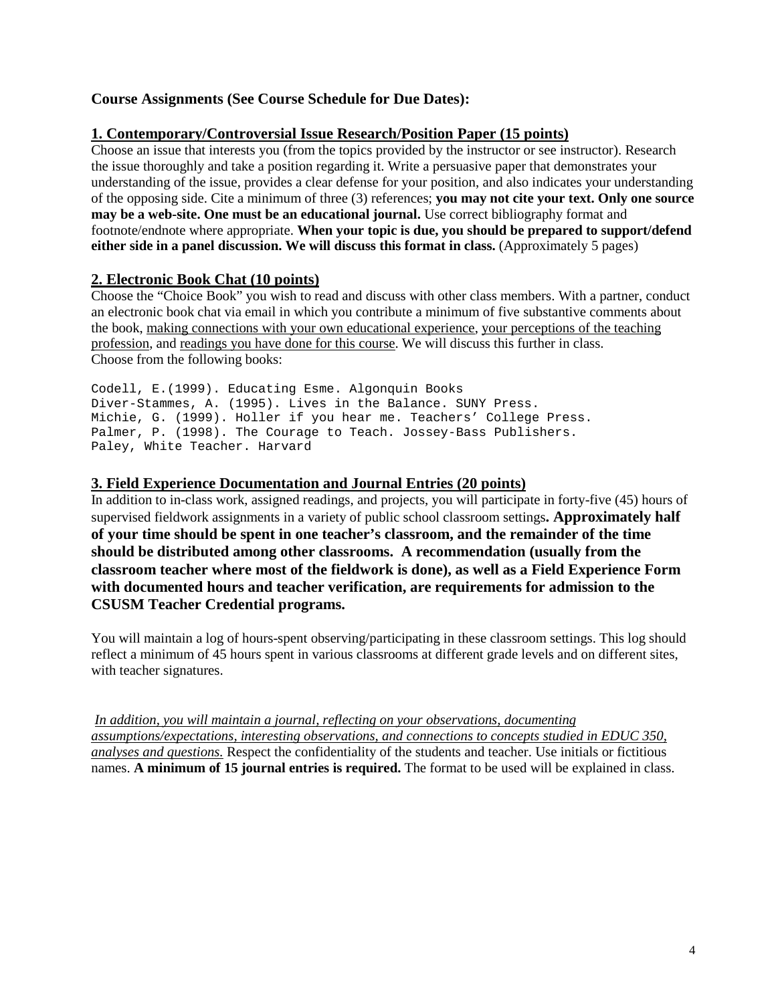#### **Course Assignments (See Course Schedule for Due Dates):**

#### **1. Contemporary/Controversial Issue Research/Position Paper (15 points)**

Choose an issue that interests you (from the topics provided by the instructor or see instructor). Research the issue thoroughly and take a position regarding it. Write a persuasive paper that demonstrates your understanding of the issue, provides a clear defense for your position, and also indicates your understanding of the opposing side. Cite a minimum of three (3) references; **you may not cite your text. Only one source may be a web-site. One must be an educational journal.** Use correct bibliography format and footnote/endnote where appropriate. **When your topic is due, you should be prepared to support/defend either side in a panel discussion. We will discuss this format in class.** (Approximately 5 pages)

#### **2. Electronic Book Chat (10 points)**

Choose the "Choice Book" you wish to read and discuss with other class members. With a partner, conduct an electronic book chat via email in which you contribute a minimum of five substantive comments about the book, making connections with your own educational experience, your perceptions of the teaching profession, and readings you have done for this course. We will discuss this further in class. Choose from the following books:

Codell, E.(1999). Educating Esme. Algonquin Books Diver-Stammes, A. (1995). Lives in the Balance. SUNY Press. Michie, G. (1999). Holler if you hear me. Teachers' College Press. Palmer, P. (1998). The Courage to Teach. Jossey-Bass Publishers. Paley, White Teacher. Harvard

#### **3. Field Experience Documentation and Journal Entries (20 points)**

In addition to in-class work, assigned readings, and projects, you will participate in forty-five (45) hours of supervised fieldwork assignments in a variety of public school classroom settings**. Approximately half of your time should be spent in one teacher's classroom, and the remainder of the time should be distributed among other classrooms. A recommendation (usually from the classroom teacher where most of the fieldwork is done), as well as a Field Experience Form with documented hours and teacher verification, are requirements for admission to the CSUSM Teacher Credential programs.** 

You will maintain a log of hours-spent observing/participating in these classroom settings. This log should reflect a minimum of 45 hours spent in various classrooms at different grade levels and on different sites, with teacher signatures.

*In addition, you will maintain a journal, reflecting on your observations, documenting assumptions/expectations, interesting observations, and connections to concepts studied in EDUC 350, analyses and questions.* Respect the confidentiality of the students and teacher. Use initials or fictitious names. **A minimum of 15 journal entries is required.** The format to be used will be explained in class.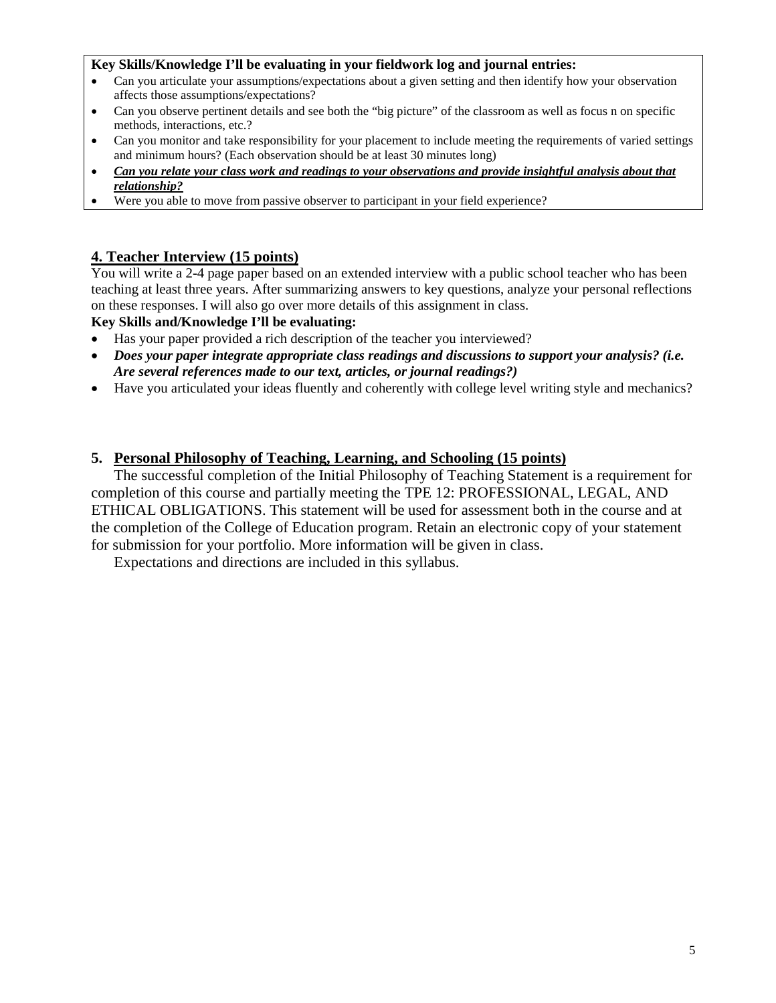#### **Key Skills/Knowledge I'll be evaluating in your fieldwork log and journal entries:**

- Can you articulate your assumptions/expectations about a given setting and then identify how your observation affects those assumptions/expectations?
- Can you observe pertinent details and see both the "big picture" of the classroom as well as focus n on specific methods, interactions, etc.?
- Can you monitor and take responsibility for your placement to include meeting the requirements of varied settings and minimum hours? (Each observation should be at least 30 minutes long)
- *Can you relate your class work and readings to your observations and provide insightful analysis about that relationship?*
- Were you able to move from passive observer to participant in your field experience?

#### **4. Teacher Interview (15 points)**

You will write a 2-4 page paper based on an extended interview with a public school teacher who has been teaching at least three years. After summarizing answers to key questions, analyze your personal reflections on these responses. I will also go over more details of this assignment in class.

#### **Key Skills and/Knowledge I'll be evaluating:**

- Has your paper provided a rich description of the teacher you interviewed?
- *Does your paper integrate appropriate class readings and discussions to support your analysis? (i.e. Are several references made to our text, articles, or journal readings?)*
- Have you articulated your ideas fluently and coherently with college level writing style and mechanics?

#### **5. Personal Philosophy of Teaching, Learning, and Schooling (15 points)**

The successful completion of the Initial Philosophy of Teaching Statement is a requirement for completion of this course and partially meeting the TPE 12: PROFESSIONAL, LEGAL, AND ETHICAL OBLIGATIONS. This statement will be used for assessment both in the course and at the completion of the College of Education program. Retain an electronic copy of your statement for submission for your portfolio. More information will be given in class.

Expectations and directions are included in this syllabus.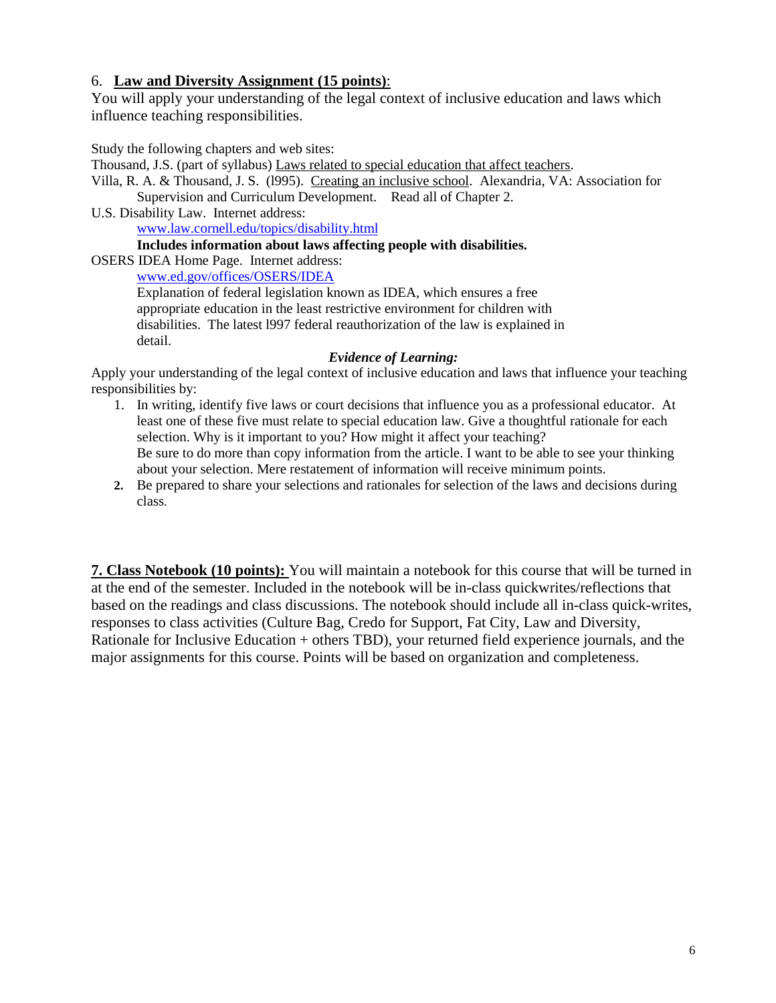#### 6. **Law and Diversity Assignment (15 points)**:

You will apply your understanding of the legal context of inclusive education and laws which influence teaching responsibilities.

Study the following chapters and web sites:

Thousand, J.S. (part of syllabus) Laws related to special education that affect teachers.

Villa, R. A. & Thousand, J. S. (l995). Creating an inclusive school. Alexandria, VA: Association for Supervision and Curriculum Development. Read all of Chapter 2.

U.S. Disability Law. Internet address:

www.law.cornell.edu/topics/disability.html

**Includes information about laws affecting people with disabilities.**

OSERS IDEA Home Page. Internet address:

www.ed.gov/offices/OSERS/IDEA

Explanation of federal legislation known as IDEA, which ensures a free appropriate education in the least restrictive environment for children with disabilities. The latest l997 federal reauthorization of the law is explained in detail.

#### *Evidence of Learning:*

Apply your understanding of the legal context of inclusive education and laws that influence your teaching responsibilities by:

- 1. In writing, identify five laws or court decisions that influence you as a professional educator. At least one of these five must relate to special education law. Give a thoughtful rationale for each selection. Why is it important to you? How might it affect your teaching? Be sure to do more than copy information from the article. I want to be able to see your thinking about your selection. Mere restatement of information will receive minimum points.
- **2.** Be prepared to share your selections and rationales for selection of the laws and decisions during class.

**7. Class Notebook (10 points):** You will maintain a notebook for this course that will be turned in at the end of the semester. Included in the notebook will be in-class quickwrites/reflections that based on the readings and class discussions. The notebook should include all in-class quick-writes, responses to class activities (Culture Bag, Credo for Support, Fat City, Law and Diversity, Rationale for Inclusive Education + others TBD), your returned field experience journals, and the major assignments for this course. Points will be based on organization and completeness.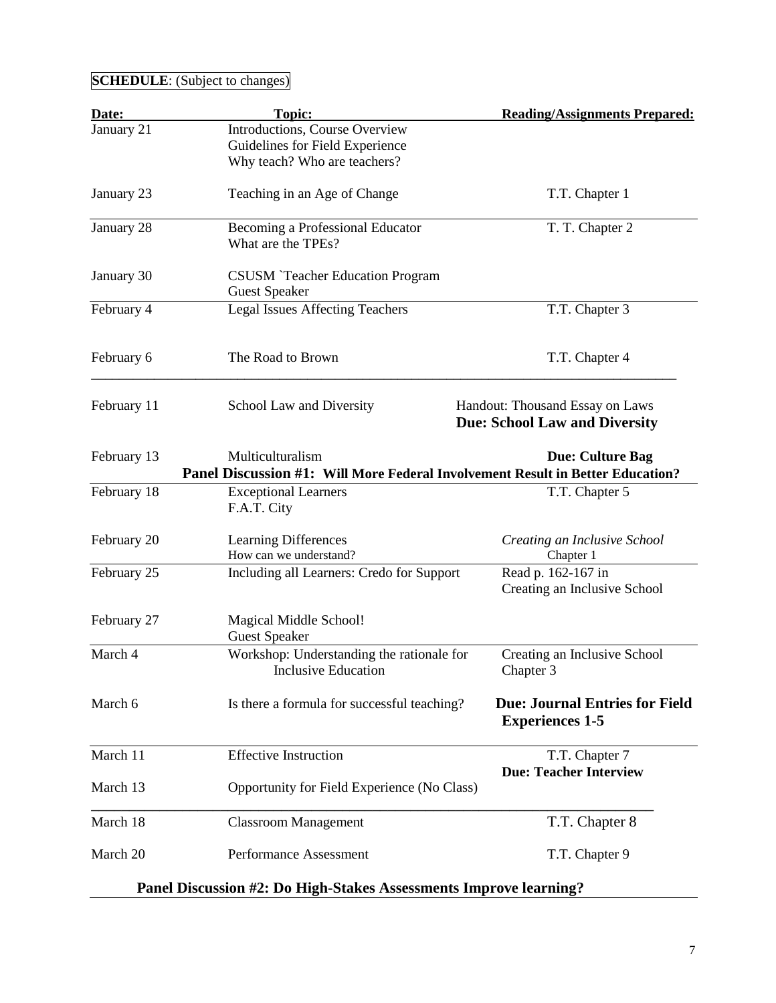| Date:       | <b>Topic:</b>                                                                                      | <b>Reading/Assignments Prepared:</b>                                    |
|-------------|----------------------------------------------------------------------------------------------------|-------------------------------------------------------------------------|
| January 21  | Introductions, Course Overview<br>Guidelines for Field Experience<br>Why teach? Who are teachers?  |                                                                         |
| January 23  | Teaching in an Age of Change                                                                       | T.T. Chapter 1                                                          |
| January 28  | Becoming a Professional Educator<br>What are the TPEs?                                             | T. T. Chapter 2                                                         |
| January 30  | <b>CSUSM</b> `Teacher Education Program<br><b>Guest Speaker</b>                                    |                                                                         |
| February 4  | <b>Legal Issues Affecting Teachers</b>                                                             | T.T. Chapter 3                                                          |
| February 6  | The Road to Brown                                                                                  | T.T. Chapter 4                                                          |
| February 11 | School Law and Diversity                                                                           | Handout: Thousand Essay on Laws<br><b>Due: School Law and Diversity</b> |
| February 13 | Multiculturalism<br>Panel Discussion #1: Will More Federal Involvement Result in Better Education? | <b>Due: Culture Bag</b>                                                 |
| February 18 | <b>Exceptional Learners</b><br>F.A.T. City                                                         | T.T. Chapter 5                                                          |
| February 20 | <b>Learning Differences</b><br>How can we understand?                                              | Creating an Inclusive School<br>Chapter 1                               |
| February 25 | Including all Learners: Credo for Support                                                          | Read p. 162-167 in<br>Creating an Inclusive School                      |
| February 27 | Magical Middle School!<br><b>Guest Speaker</b>                                                     |                                                                         |
| March 4     | Workshop: Understanding the rationale for<br><b>Inclusive Education</b>                            | Creating an Inclusive School<br>Chapter 3                               |
| March 6     | Is there a formula for successful teaching?                                                        | <b>Due: Journal Entries for Field</b><br><b>Experiences 1-5</b>         |
| March 11    | <b>Effective Instruction</b>                                                                       | T.T. Chapter 7<br><b>Due: Teacher Interview</b>                         |
| March 13    | Opportunity for Field Experience (No Class)                                                        |                                                                         |
| March 18    | <b>Classroom Management</b>                                                                        | T.T. Chapter 8                                                          |
| March 20    | Performance Assessment                                                                             | T.T. Chapter 9                                                          |
|             | Panel Discussion #2: Do High-Stakes Assessments Improve learning?                                  |                                                                         |

## **SCHEDULE**: (Subject to changes)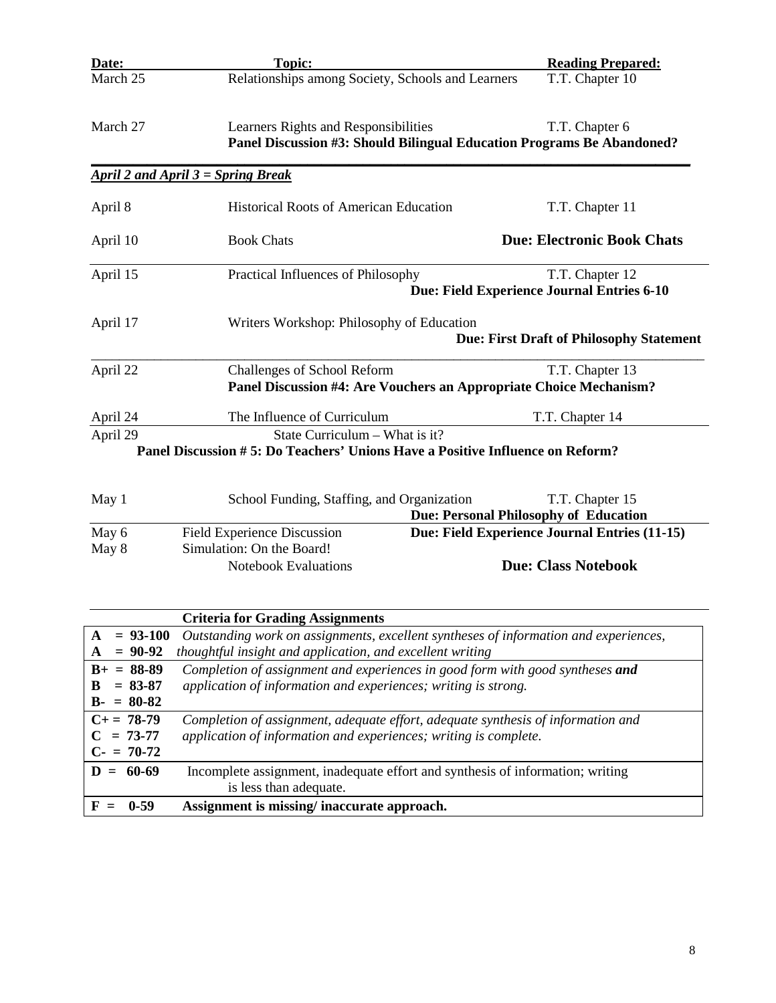| Date:    | <b>Topic:</b>                                                                  | <b>Reading Prepared:</b>                        |
|----------|--------------------------------------------------------------------------------|-------------------------------------------------|
| March 25 | Relationships among Society, Schools and Learners                              | T.T. Chapter 10                                 |
|          |                                                                                |                                                 |
| March 27 | Learners Rights and Responsibilities                                           | T.T. Chapter 6                                  |
|          | Panel Discussion #3: Should Bilingual Education Programs Be Abandoned?         |                                                 |
|          | April 2 and April $3 =$ Spring Break                                           |                                                 |
| April 8  | <b>Historical Roots of American Education</b>                                  | T.T. Chapter 11                                 |
| April 10 | <b>Book Chats</b>                                                              | <b>Due: Electronic Book Chats</b>               |
| April 15 | Practical Influences of Philosophy                                             | T.T. Chapter 12                                 |
|          |                                                                                | Due: Field Experience Journal Entries 6-10      |
| April 17 | Writers Workshop: Philosophy of Education                                      |                                                 |
|          |                                                                                | <b>Due: First Draft of Philosophy Statement</b> |
| April 22 | Challenges of School Reform                                                    | T.T. Chapter 13                                 |
|          | Panel Discussion #4: Are Vouchers an Appropriate Choice Mechanism?             |                                                 |
| April 24 | The Influence of Curriculum                                                    | T.T. Chapter 14                                 |
| April 29 | State Curriculum - What is it?                                                 |                                                 |
|          | Panel Discussion # 5: Do Teachers' Unions Have a Positive Influence on Reform? |                                                 |
|          |                                                                                |                                                 |
| May 1    | School Funding, Staffing, and Organization                                     | T.T. Chapter 15                                 |
|          |                                                                                | <b>Due: Personal Philosophy of Education</b>    |
| May 6    | Field Experience Discussion                                                    | Due: Field Experience Journal Entries (11-15)   |
| May 8    | Simulation: On the Board!                                                      |                                                 |
|          | <b>Notebook Evaluations</b>                                                    | <b>Due: Class Notebook</b>                      |

|                   | <b>Criteria for Grading Assignments</b>                                              |
|-------------------|--------------------------------------------------------------------------------------|
| $A = 93-100$      | Outstanding work on assignments, excellent syntheses of information and experiences, |
| $A = 90-92$       | thoughtful insight and application, and excellent writing                            |
| $B_+ = 88-89$     | Completion of assignment and experiences in good form with good syntheses and        |
| $B = 83-87$       | application of information and experiences; writing is strong.                       |
| $B - = 80 - 82$   |                                                                                      |
| $C_{\pm} = 78-79$ | Completion of assignment, adequate effort, adequate synthesis of information and     |
| $C = 73-77$       | application of information and experiences; writing is complete.                     |
| $C = 70-72$       |                                                                                      |
| $D = 60-69$       | Incomplete assignment, inadequate effort and synthesis of information; writing       |
|                   | is less than adequate.                                                               |
| 0-59              | Assignment is missing/ inaccurate approach.                                          |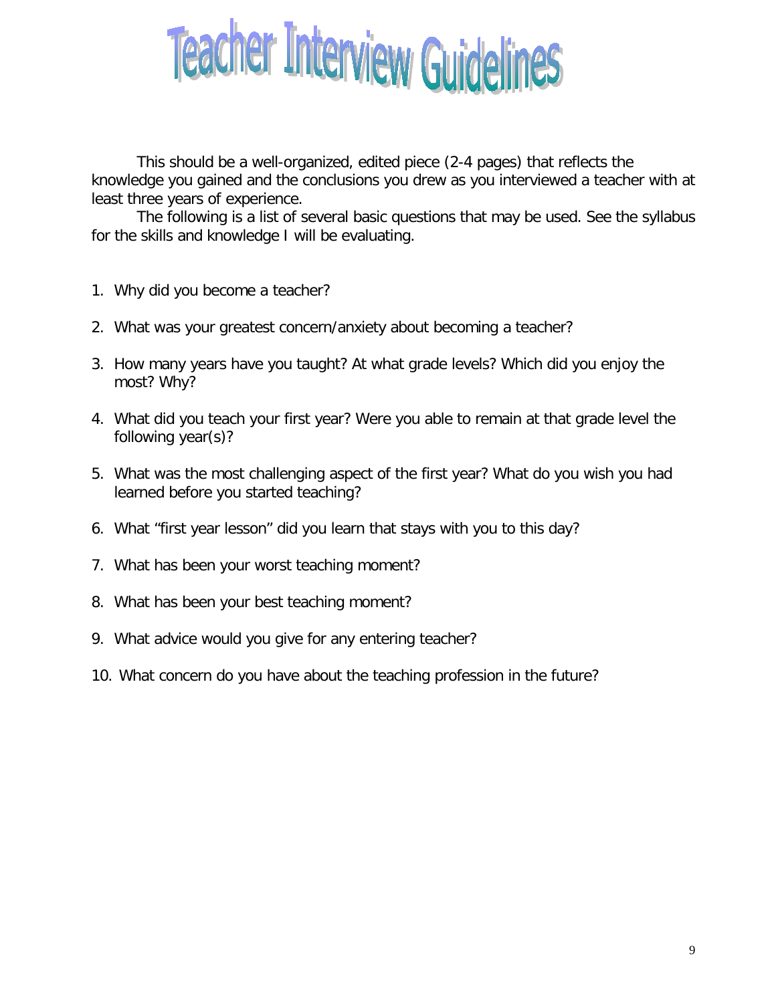

This should be a well-organized, edited piece (2-4 pages) that reflects the knowledge you gained and the conclusions you drew as you interviewed a teacher with at least three years of experience.

The following is a list of several basic questions that may be used. See the syllabus for the skills and knowledge I will be evaluating.

- 1. Why did you become a teacher?
- 2. What was your greatest concern/anxiety about becoming a teacher?
- 3. How many years have you taught? At what grade levels? Which did you enjoy the most? Why?
- 4. What did you teach your first year? Were you able to remain at that grade level the following year(s)?
- 5. What was the most challenging aspect of the first year? What do you wish you had learned before you started teaching?
- 6. What "first year lesson" did you learn that stays with you to this day?
- 7. What has been your worst teaching moment?
- 8. What has been your best teaching moment?
- 9. What advice would you give for any entering teacher?
- 10. What concern do you have about the teaching profession in the future?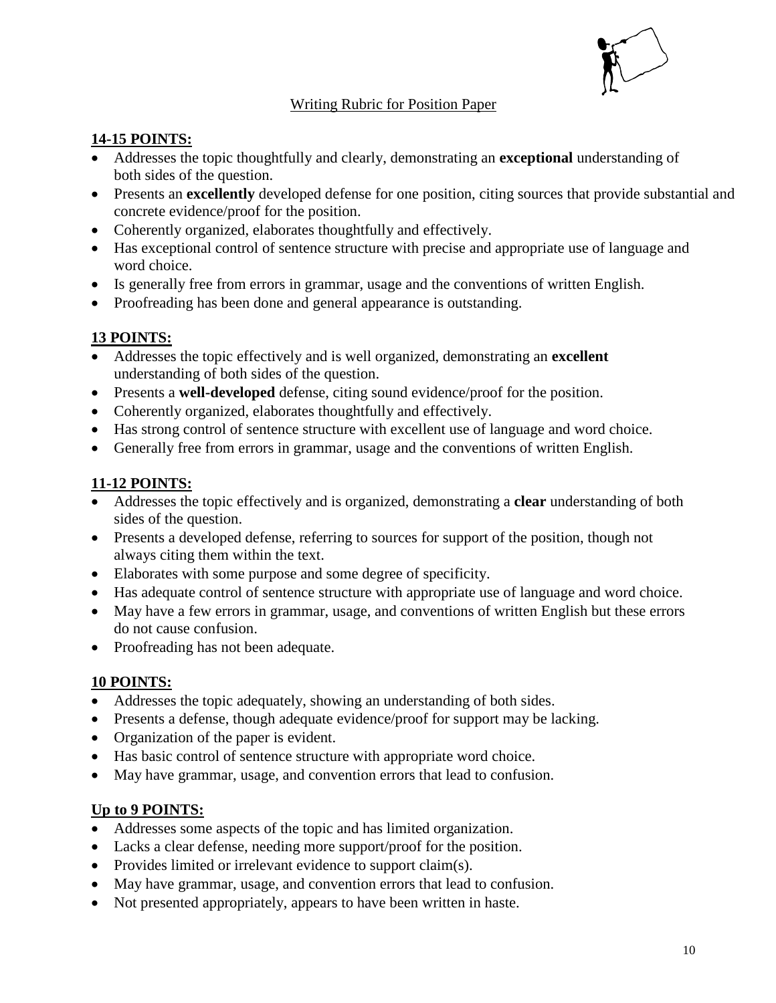

#### Writing Rubric for Position Paper

#### **14-15 POINTS:**

- Addresses the topic thoughtfully and clearly, demonstrating an **exceptional** understanding of both sides of the question.
- Presents an **excellently** developed defense for one position, citing sources that provide substantial and concrete evidence/proof for the position.
- Coherently organized, elaborates thoughtfully and effectively.
- Has exceptional control of sentence structure with precise and appropriate use of language and word choice.
- Is generally free from errors in grammar, usage and the conventions of written English.
- Proofreading has been done and general appearance is outstanding.

#### **13 POINTS:**

- Addresses the topic effectively and is well organized, demonstrating an **excellent** understanding of both sides of the question.
- Presents a **well-developed** defense, citing sound evidence/proof for the position.
- Coherently organized, elaborates thoughtfully and effectively.
- Has strong control of sentence structure with excellent use of language and word choice.
- Generally free from errors in grammar, usage and the conventions of written English.

#### **11-12 POINTS:**

- Addresses the topic effectively and is organized, demonstrating a **clear** understanding of both sides of the question.
- Presents a developed defense, referring to sources for support of the position, though not always citing them within the text.
- Elaborates with some purpose and some degree of specificity.
- Has adequate control of sentence structure with appropriate use of language and word choice.
- May have a few errors in grammar, usage, and conventions of written English but these errors do not cause confusion.
- Proofreading has not been adequate.

#### **10 POINTS:**

- Addresses the topic adequately, showing an understanding of both sides.
- Presents a defense, though adequate evidence/proof for support may be lacking.
- Organization of the paper is evident.
- Has basic control of sentence structure with appropriate word choice.
- May have grammar, usage, and convention errors that lead to confusion.

#### **Up to 9 POINTS:**

- Addresses some aspects of the topic and has limited organization.
- Lacks a clear defense, needing more support/proof for the position.
- Provides limited or irrelevant evidence to support claim(s).
- May have grammar, usage, and convention errors that lead to confusion.
- Not presented appropriately, appears to have been written in haste.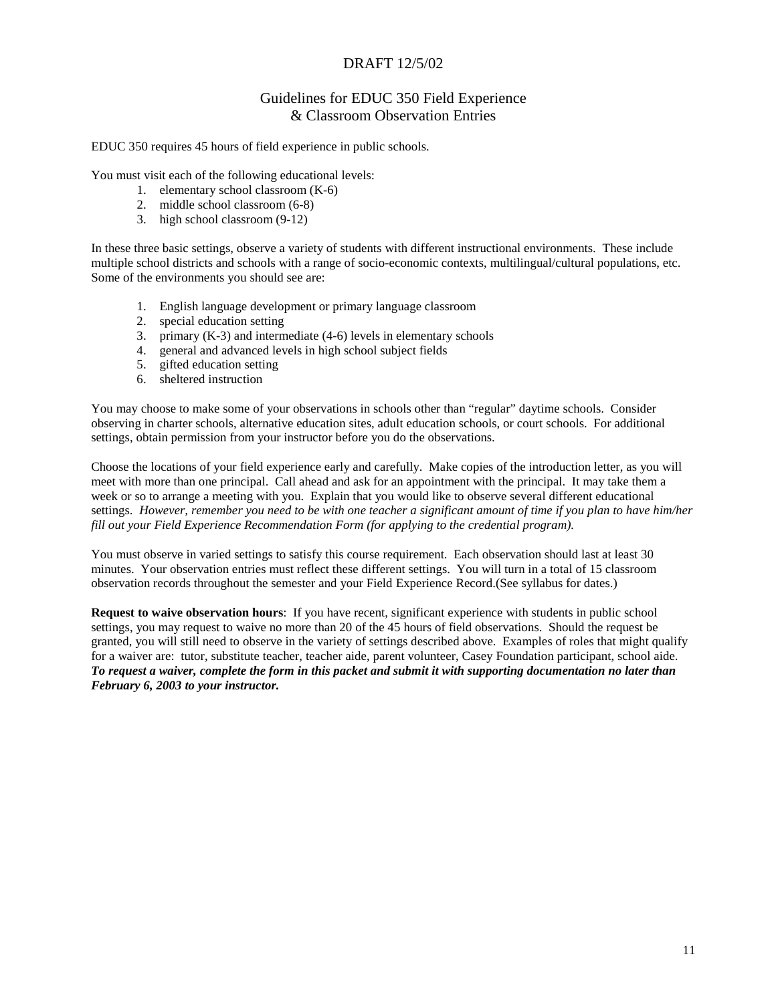#### DRAFT 12/5/02

#### Guidelines for EDUC 350 Field Experience & Classroom Observation Entries

EDUC 350 requires 45 hours of field experience in public schools.

You must visit each of the following educational levels:

- 1. elementary school classroom (K-6)
- 2. middle school classroom (6-8)
- 3. high school classroom (9-12)

In these three basic settings, observe a variety of students with different instructional environments. These include multiple school districts and schools with a range of socio-economic contexts, multilingual/cultural populations, etc. Some of the environments you should see are:

- 1. English language development or primary language classroom
- 2. special education setting
- 3. primary (K-3) and intermediate (4-6) levels in elementary schools
- 4. general and advanced levels in high school subject fields
- 5. gifted education setting
- 6. sheltered instruction

You may choose to make some of your observations in schools other than "regular" daytime schools. Consider observing in charter schools, alternative education sites, adult education schools, or court schools. For additional settings, obtain permission from your instructor before you do the observations.

Choose the locations of your field experience early and carefully. Make copies of the introduction letter, as you will meet with more than one principal. Call ahead and ask for an appointment with the principal. It may take them a week or so to arrange a meeting with you. Explain that you would like to observe several different educational settings. *However, remember you need to be with one teacher a significant amount of time if you plan to have him/her fill out your Field Experience Recommendation Form (for applying to the credential program).*

You must observe in varied settings to satisfy this course requirement. Each observation should last at least 30 minutes. Your observation entries must reflect these different settings. You will turn in a total of 15 classroom observation records throughout the semester and your Field Experience Record.(See syllabus for dates.)

**Request to waive observation hours**: If you have recent, significant experience with students in public school settings, you may request to waive no more than 20 of the 45 hours of field observations. Should the request be granted, you will still need to observe in the variety of settings described above. Examples of roles that might qualify for a waiver are: tutor, substitute teacher, teacher aide, parent volunteer, Casey Foundation participant, school aide. *To request a waiver, complete the form in this packet and submit it with supporting documentation no later than February 6, 2003 to your instructor.*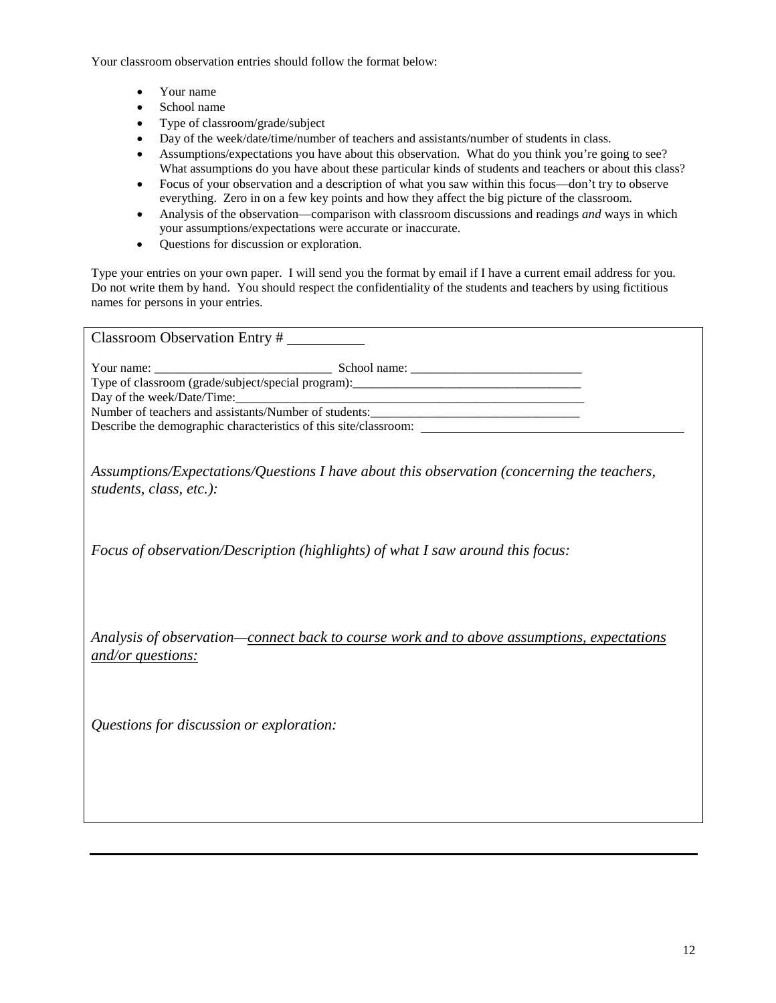Your classroom observation entries should follow the format below:

- Your name
- School name
- Type of classroom/grade/subject
- Day of the week/date/time/number of teachers and assistants/number of students in class.
- Assumptions/expectations you have about this observation. What do you think you're going to see? What assumptions do you have about these particular kinds of students and teachers or about this class?
- Focus of your observation and a description of what you saw within this focus—don't try to observe everything. Zero in on a few key points and how they affect the big picture of the classroom.
- Analysis of the observation—comparison with classroom discussions and readings *and* ways in which your assumptions/expectations were accurate or inaccurate.
- Questions for discussion or exploration.

Type your entries on your own paper. I will send you the format by email if I have a current email address for you. Do not write them by hand. You should respect the confidentiality of the students and teachers by using fictitious names for persons in your entries.

| Classroom Observation Entry #                                                  |                                                                                            |
|--------------------------------------------------------------------------------|--------------------------------------------------------------------------------------------|
|                                                                                | Number of teachers and assistants/Number of students:____________________________          |
| students, class, etc.):                                                        | Assumptions/Expectations/Questions I have about this observation (concerning the teachers, |
| Focus of observation/Description (highlights) of what I saw around this focus: |                                                                                            |
| and/or questions:                                                              | Analysis of observation—connect back to course work and to above assumptions, expectations |
| Questions for discussion or exploration:                                       |                                                                                            |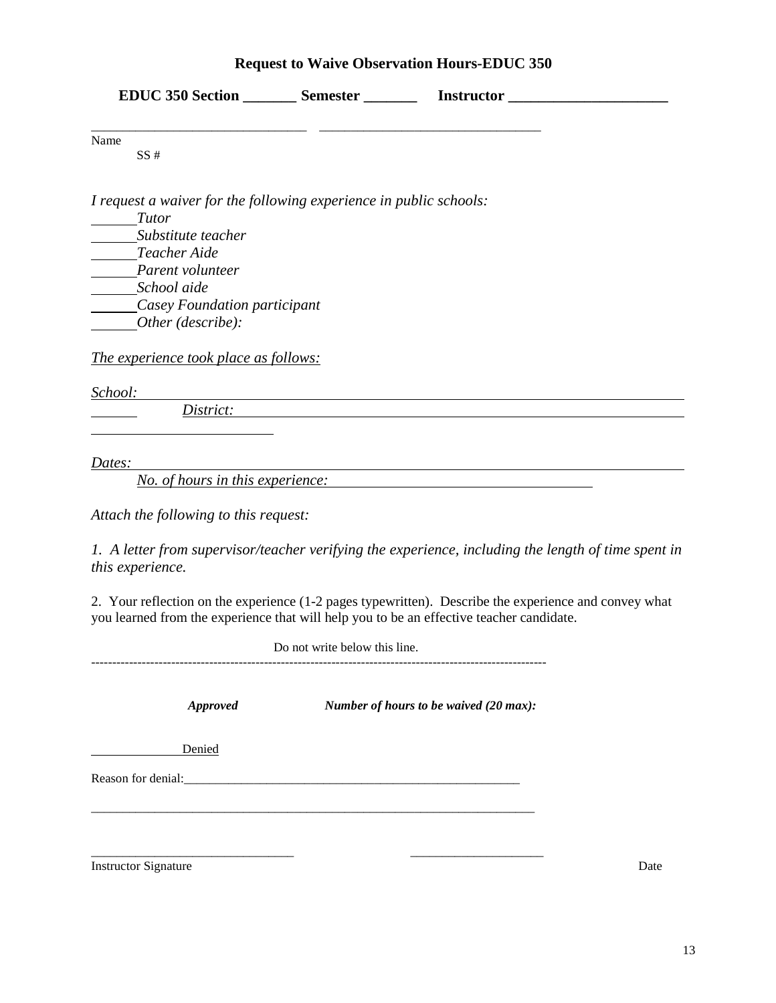### **Request to Waive Observation Hours-EDUC 350**

|                                                                    |                               | EDUC 350 Section _________ Semester ____________ Instructor _____________________                                                                                                                 |
|--------------------------------------------------------------------|-------------------------------|---------------------------------------------------------------------------------------------------------------------------------------------------------------------------------------------------|
| Name<br>SS#                                                        |                               |                                                                                                                                                                                                   |
| I request a waiver for the following experience in public schools: |                               |                                                                                                                                                                                                   |
| <b>Tutor</b><br>Substitute teacher                                 |                               |                                                                                                                                                                                                   |
| Teacher Aide                                                       |                               |                                                                                                                                                                                                   |
| Parent volunteer                                                   |                               |                                                                                                                                                                                                   |
| School aide                                                        |                               |                                                                                                                                                                                                   |
| Casey Foundation participant                                       |                               |                                                                                                                                                                                                   |
| Other (describe):                                                  |                               |                                                                                                                                                                                                   |
| <u>The experience took place as follows:</u>                       |                               |                                                                                                                                                                                                   |
| <u>School:</u>                                                     |                               |                                                                                                                                                                                                   |
|                                                                    |                               | Dis <u>trict:</u>                                                                                                                                                                                 |
|                                                                    |                               |                                                                                                                                                                                                   |
| Dates:                                                             |                               |                                                                                                                                                                                                   |
| No. of hours in this experience:                                   |                               |                                                                                                                                                                                                   |
| Attach the following to this request:                              |                               |                                                                                                                                                                                                   |
| this experience.                                                   |                               | 1. A letter from supervisor/teacher verifying the experience, including the length of time spent in                                                                                               |
|                                                                    |                               | 2. Your reflection on the experience (1-2 pages typewritten). Describe the experience and convey what<br>you learned from the experience that will help you to be an effective teacher candidate. |
|                                                                    | Do not write below this line. |                                                                                                                                                                                                   |
|                                                                    |                               |                                                                                                                                                                                                   |
| <b>Approved</b>                                                    |                               | Number of hours to be waived (20 max):                                                                                                                                                            |
| Denied                                                             |                               |                                                                                                                                                                                                   |
|                                                                    |                               |                                                                                                                                                                                                   |
|                                                                    |                               |                                                                                                                                                                                                   |
|                                                                    |                               |                                                                                                                                                                                                   |
|                                                                    |                               |                                                                                                                                                                                                   |

Instructor Signature Date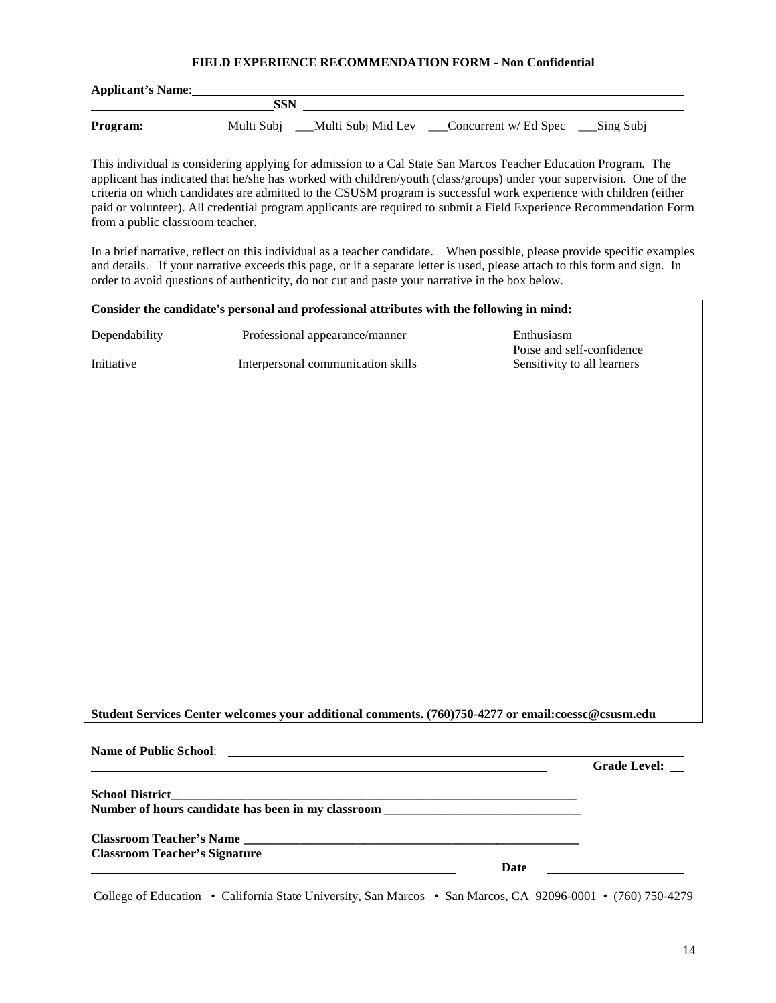#### **FIELD EXPERIENCE RECOMMENDATION FORM - Non Confidential**

| <b>Applicant's Name:</b> |            |                       |                                            |             |
|--------------------------|------------|-----------------------|--------------------------------------------|-------------|
|                          | SSN        |                       |                                            |             |
| Program:                 | Multi Subi | ___Multi Subj Mid Lev | $\sqrt{\frac{1}{2}}$ Concurrent w/ Ed Spec | __Sing Subj |

This individual is considering applying for admission to a Cal State San Marcos Teacher Education Program. The applicant has indicated that he/she has worked with children/youth (class/groups) under your supervision. One of the criteria on which candidates are admitted to the CSUSM program is successful work experience with children (either paid or volunteer). All credential program applicants are required to submit a Field Experience Recommendation Form from a public classroom teacher.

In a brief narrative, reflect on this individual as a teacher candidate. When possible, please provide specific examples and details. If your narrative exceeds this page, or if a separate letter is used, please attach to this form and sign. In order to avoid questions of authenticity, do not cut and paste your narrative in the box below.

|                        | Consider the candidate's personal and professional attributes with the following in mind:          |                                         |
|------------------------|----------------------------------------------------------------------------------------------------|-----------------------------------------|
| Dependability          | Professional appearance/manner                                                                     | Enthusiasm<br>Poise and self-confidence |
| Initiative             | Interpersonal communication skills                                                                 | Sensitivity to all learners             |
|                        |                                                                                                    |                                         |
|                        |                                                                                                    |                                         |
|                        |                                                                                                    |                                         |
|                        |                                                                                                    |                                         |
|                        |                                                                                                    |                                         |
|                        |                                                                                                    |                                         |
|                        |                                                                                                    |                                         |
|                        |                                                                                                    |                                         |
|                        |                                                                                                    |                                         |
|                        |                                                                                                    |                                         |
|                        |                                                                                                    |                                         |
|                        |                                                                                                    |                                         |
|                        |                                                                                                    |                                         |
|                        |                                                                                                    |                                         |
|                        |                                                                                                    |                                         |
|                        |                                                                                                    |                                         |
|                        |                                                                                                    |                                         |
|                        | Student Services Center welcomes your additional comments. (760)750-4277 or email:coessc@csusm.edu |                                         |
|                        |                                                                                                    |                                         |
|                        |                                                                                                    |                                         |
|                        |                                                                                                    | <b>Grade Level:</b>                     |
| <b>School District</b> |                                                                                                    |                                         |
|                        | Number of hours candidate has been in my classroom                                                 |                                         |
|                        |                                                                                                    |                                         |
|                        |                                                                                                    |                                         |
|                        | <b>Classroom Teacher's Signature</b>                                                               |                                         |

College of Education • California State University, San Marcos • San Marcos, CA 92096-0001 • (760) 750-4279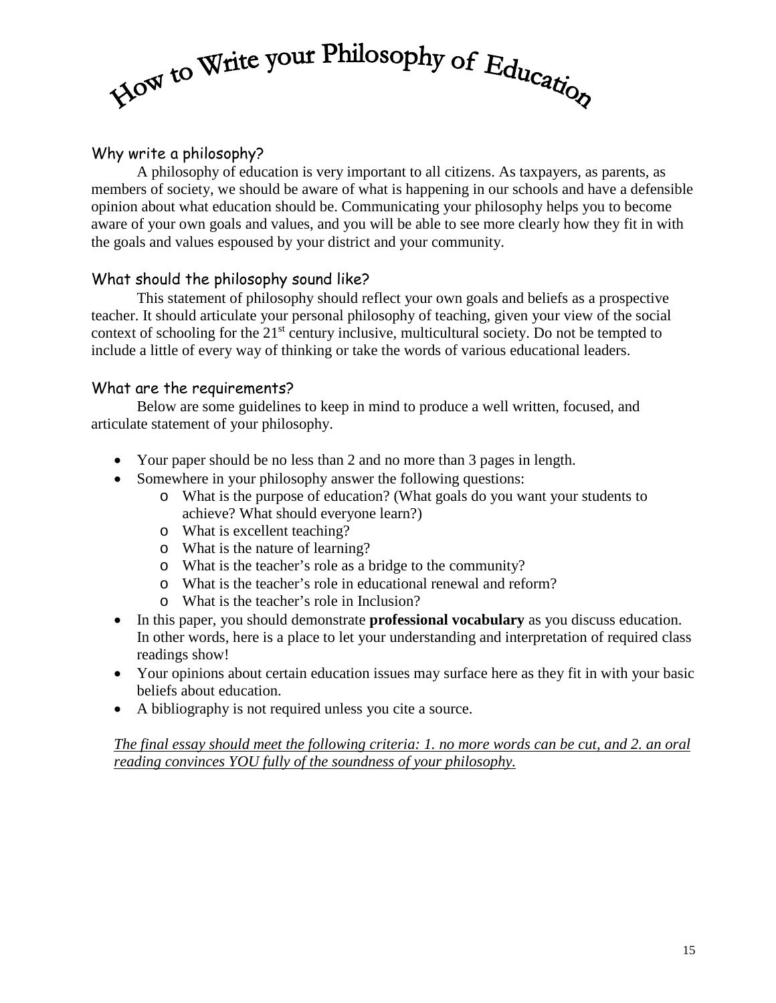# Mow to Write your Philosophy of Education

### Why write a philosophy?

A philosophy of education is very important to all citizens. As taxpayers, as parents, as members of society, we should be aware of what is happening in our schools and have a defensible opinion about what education should be. Communicating your philosophy helps you to become aware of your own goals and values, and you will be able to see more clearly how they fit in with the goals and values espoused by your district and your community.

#### What should the philosophy sound like?

This statement of philosophy should reflect your own goals and beliefs as a prospective teacher. It should articulate your personal philosophy of teaching, given your view of the social context of schooling for the 21<sup>st</sup> century inclusive, multicultural society. Do not be tempted to include a little of every way of thinking or take the words of various educational leaders.

#### What are the requirements?

Below are some guidelines to keep in mind to produce a well written, focused, and articulate statement of your philosophy.

- Your paper should be no less than 2 and no more than 3 pages in length.
- Somewhere in your philosophy answer the following questions:
	- o What is the purpose of education? (What goals do you want your students to achieve? What should everyone learn?)
	- o What is excellent teaching?
	- o What is the nature of learning?
	- o What is the teacher's role as a bridge to the community?
	- o What is the teacher's role in educational renewal and reform?
	- o What is the teacher's role in Inclusion?
- In this paper, you should demonstrate **professional vocabulary** as you discuss education. In other words, here is a place to let your understanding and interpretation of required class readings show!
- Your opinions about certain education issues may surface here as they fit in with your basic beliefs about education.
- A bibliography is not required unless you cite a source.

*The final essay should meet the following criteria: 1. no more words can be cut, and 2. an oral reading convinces YOU fully of the soundness of your philosophy.*